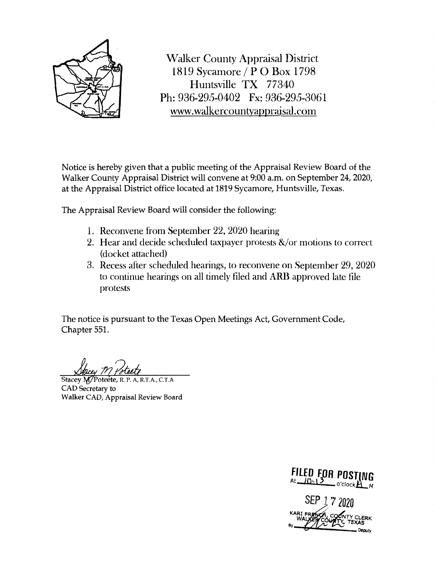

Walker County Appraisal District 1819 Sycamore / P O Box 1798 Huntsville TX 77340 Ph: 936-295-0402 Fx: 936-295-3061 www.walkercountyappraisal.com

Notice is hereby given that a public meeting of the Appraisal Review Board of the Walker County Appraisal District will convene at 9:00 a.m. on September 24, 2020, at the Appraisal District office located at 1819 Sycamore, Huntsville, Texas.

The Appraisal Review Board will consider the following:

- 1. Reconvene from September 22, 2020 hearing
- 2. Hear and decide scheduled taxpayer protests &/or motions to correct (docket attached)
- 3. Recess after scheduled hearings, to reconvene on September 29, 2020 to continue hearings on all timely filed and ARB approved late file protests

The notice is pursuant to the Texas Open Meetings Act, Government Code, Chapter 551.

Stacey M/Poteete, R. P. A, R.T.A., C.T.A. CAD Secretary to Walker CAD, Appraisal Review Board

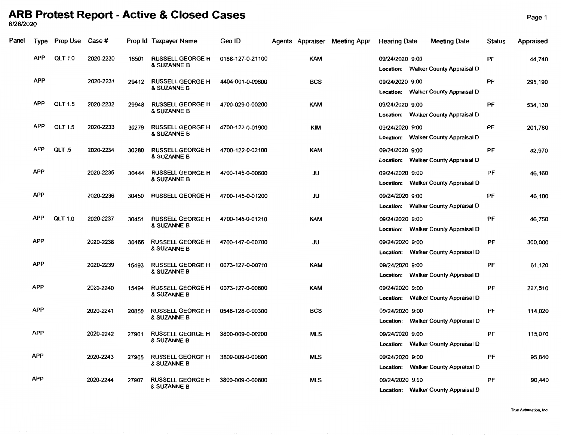## **ARB Protest Report - Active & Closed Cases** Page 1 812812020

| Panel | <b>Type</b> | Prop Use       | Case #    |       | Prop Id Taxpayer Name                             | Geo ID           |            | Agents Appraiser Meeting Appr | <b>Hearing Date</b> | <b>Meeting Date</b>                 | <b>Status</b> | Appraised |
|-------|-------------|----------------|-----------|-------|---------------------------------------------------|------------------|------------|-------------------------------|---------------------|-------------------------------------|---------------|-----------|
|       | <b>APP</b>  | <b>QLT 1.0</b> | 2020-2230 | 16501 | <b>RUSSELL GEORGE H</b><br><b>&amp; SUZANNE B</b> | 0188-127-0-21100 | <b>KAM</b> |                               | 09/24/2020 9:00     | Location: Walker County Appraisal D | PF            | 44,740    |
|       | <b>APP</b>  |                | 2020-2231 | 29412 | <b>RUSSELL GEORGE H</b><br>& SUZANNE B            | 4404-001-0-00600 | <b>BCS</b> |                               | 09/24/2020 9:00     | Location: Walker County Appraisal D | PF            | 295,190   |
|       | <b>APP</b>  | <b>QLT 1.5</b> | 2020-2232 | 29948 | <b>RUSSELL GEORGE H</b><br>& SUZANNE B            | 4700-029-0-00200 | <b>KAM</b> |                               | 09/24/2020 9:00     | Location: Walker County Appraisal D | PF            | 534,130   |
|       | <b>APP</b>  | <b>QLT 1.5</b> | 2020-2233 | 30279 | <b>RUSSELL GEORGE H</b><br>& SUZANNE B            | 4700-122-0-01900 | KIM        |                               | 09/24/2020 9:00     | Location: Walker County Appraisal D | PF            | 201,780   |
|       | <b>APP</b>  | QLT 5          | 2020-2234 | 30280 | <b>RUSSELL GEORGE H</b><br>& SUZANNE B            | 4700-122-0-02100 | <b>KAM</b> |                               | 09/24/2020 9:00     | Location: Walker County Appraisal D | PF            | 82,970    |
|       | <b>APP</b>  |                | 2020-2235 | 30444 | <b>RUSSELL GEORGE H</b><br>& SUZANNE B            | 4700-145-0-00600 | JU         |                               | 09/24/2020 9:00     | Location: Walker County Appraisal D | PF            | 46,160    |
|       | <b>APP</b>  |                | 2020-2236 | 30450 | <b>RUSSELL GEORGE H</b>                           | 4700-145-0-01200 | JU         |                               | 09/24/2020 9:00     | Location: Walker County Appraisal D | PF            | 46,100    |
|       | <b>APP</b>  | <b>QLT 1.0</b> | 2020-2237 | 30451 | <b>RUSSELL GEORGE H</b><br>& SUZANNE B            | 4700-145-0-01210 | <b>KAM</b> |                               | 09/24/2020 9:00     | Location: Walker County Appraisal D | PF            | 46,750    |
|       | <b>APP</b>  |                | 2020-2238 | 30466 | <b>RUSSELL GEORGE H</b><br>& SUZANNE B            | 4700-147-0-00700 | JU         |                               | 09/24/2020 9:00     | Location: Walker County Appraisal D | PF            | 300,000   |
|       | <b>APP</b>  |                | 2020-2239 | 15493 | <b>RUSSELL GEORGE H</b><br>& SUZANNE B            | 0073-127-0-00710 | <b>KAM</b> |                               | 09/24/2020 9:00     | Location: Walker County Appraisal D | PF            | 61,120    |
|       | <b>APP</b>  |                | 2020-2240 | 15494 | <b>RUSSELL GEORGE H</b><br>& SUZANNE B            | 0073-127-0-00800 | <b>KAM</b> |                               | 09/24/2020 9:00     | Location: Walker County Appraisal D | PF            | 227,510   |
|       | <b>APP</b>  |                | 2020-2241 | 20850 | <b>RUSSELL GEORGE H</b><br>& SUZANNE B            | 0548-128-0-00300 | <b>BCS</b> |                               | 09/24/2020 9:00     | Location: Walker County Appraisal D | PF            | 114,020   |
|       | <b>APP</b>  |                | 2020-2242 | 27901 | <b>RUSSELL GEORGE H</b><br><b>&amp; SUZANNE B</b> | 3800-009-0-00200 | <b>MLS</b> |                               | 09/24/2020 9:00     | Location: Walker County Appraisal D | PF            | 115,070   |
|       | <b>APP</b>  |                | 2020-2243 | 27905 | <b>RUSSELL GEORGE H</b><br>& SUZANNE B            | 3800-009-0-00600 | <b>MLS</b> |                               | 09/24/2020 9:00     | Location: Walker County Appraisal D | PF            | 95.840    |
|       | <b>APP</b>  |                | 2020-2244 | 27907 | <b>RUSSELL GEORGE H</b><br>& SUZANNE B            | 3800-009-0-00800 | <b>MLS</b> |                               | 09/24/2020 9:00     | Location: Walker County Appraisal D | PF            | 90,440    |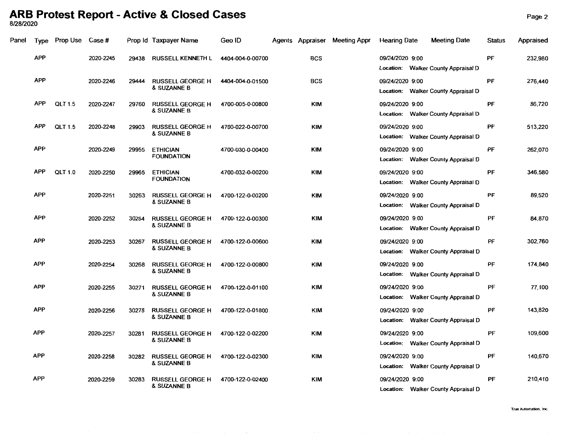## **ARB Protest Report - Active & Closed Cases** Page2 812812020

| Panel | <b>Type</b> | Prop Use       | <b>Case #</b> |       | Prop Id Taxpayer Name                  | Geo ID           |            | Agents Appraiser Meeting Appr | <b>Hearing Date</b> | <b>Meeting Date</b>                 | Status | Appraised |
|-------|-------------|----------------|---------------|-------|----------------------------------------|------------------|------------|-------------------------------|---------------------|-------------------------------------|--------|-----------|
|       | <b>APP</b>  |                | 2020-2245     | 29438 | <b>RUSSELL KENNETH L</b>               | 4404-004-0-00700 | <b>BCS</b> |                               | 09/24/2020 9:00     | Location: Walker County Appraisal D | PF     | 232,980   |
|       | <b>APP</b>  |                | 2020-2246     | 29444 | <b>RUSSELL GEORGE H</b><br>& SUZANNE B | 4404-004-0-01500 | <b>BCS</b> |                               | 09/24/2020 9:00     | Location: Walker County Appraisal D | PF     | 276,440   |
|       | <b>APP</b>  | <b>QLT 1.5</b> | 2020-2247     | 29760 | <b>RUSSELL GEORGE H</b><br>& SUZANNE B | 4700-005-0-00800 | <b>KIM</b> |                               | 09/24/2020 9:00     | Location: Walker County Appraisal D | PF     | 86,720    |
|       | <b>APP</b>  | <b>QLT 1.5</b> | 2020-2248     | 29903 | <b>RUSSELL GEORGE H</b><br>& SUZANNE B | 4700-022-0-00700 | KIM        |                               | 09/24/2020 9:00     | Location: Walker County Appraisal D | PF     | 513,220   |
|       | <b>APP</b>  |                | 2020-2249     | 29955 | <b>ETHICIAN</b><br><b>FOUNDATION</b>   | 4700-030-0-00400 | KIM        |                               | 09/24/2020 9:00     | Location: Walker County Appraisal D | PF     | 262,070   |
|       | <b>APP</b>  | QLT 1.0        | 2020-2250     | 29965 | <b>ETHICIAN</b><br><b>FOUNDATION</b>   | 4700-032-0-00200 | <b>KIM</b> |                               | 09/24/2020 9:00     | Location: Walker County Appraisal D | PF     | 346,580   |
|       | <b>APP</b>  |                | 2020-2251     | 30263 | <b>RUSSELL GEORGE H</b><br>& SUZANNE B | 4700-122-0-00200 | <b>KIM</b> |                               | 09/24/2020 9:00     | Location: Walker County Appraisal D | PF     | 89,520    |
|       | <b>APP</b>  |                | 2020-2252     | 30264 | <b>RUSSELL GEORGE H</b><br>& SUZANNE B | 4700-122-0-00300 | <b>KIM</b> |                               | 09/24/2020 9:00     | Location: Walker County Appraisal D | PF     | 84,870    |
|       | <b>APP</b>  |                | 2020-2253     | 30267 | <b>RUSSELL GEORGE H</b><br>& SUZANNE B | 4700-122-0-00600 | KIM        |                               | 09/24/2020 9:00     | Location: Walker County Appraisal D | PF     | 302,760   |
|       | <b>APP</b>  |                | 2020-2254     | 30268 | <b>RUSSELL GEORGE H</b><br>& SUZANNE B | 4700-122-0-00800 | <b>KIM</b> |                               | 09/24/2020 9:00     | Location: Walker County Appraisal D | PF     | 174,840   |
|       | <b>APP</b>  |                | 2020-2255     | 30271 | <b>RUSSELL GEORGE H</b><br>& SUZANNE B | 4700-122-0-01100 | <b>KIM</b> |                               | 09/24/2020 9:00     | Location: Walker County Appraisal D | PF     | 77,100    |
|       | <b>APP</b>  |                | 2020-2256     | 30278 | <b>RUSSELL GEORGE H</b><br>& SUZANNE B | 4700-122-0-01800 | <b>KIM</b> |                               | 09/24/2020 9:00     | Location: Walker County Appraisal D | PF     | 143,820   |
|       | <b>APP</b>  |                | 2020-2257     | 30281 | <b>RUSSELL GEORGE H</b><br>& SUZANNE B | 4700-122-0-02200 | <b>KIM</b> |                               | 09/24/2020 9:00     | Location: Walker County Appraisal D | PF     | 109,600   |
|       | <b>APP</b>  |                | 2020-2258     | 30282 | <b>RUSSELL GEORGE H</b><br>& SUZANNE B | 4700-122-0-02300 | <b>KIM</b> |                               | 09/24/2020 9:00     | Location: Walker County Appraisal D | PF     | 140,670   |
|       | <b>APP</b>  |                | 2020-2259     | 30283 | <b>RUSSELL GEORGE H</b><br>& SUZANNE B | 4700-122-0-02400 | <b>KIM</b> |                               | 09/24/2020 9:00     | Location: Walker County Appraisal D | PF     | 210,410   |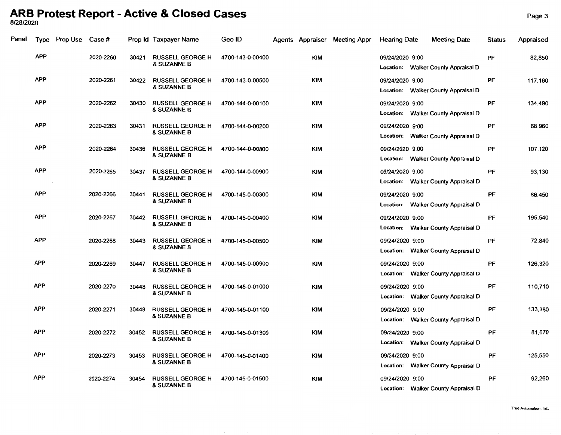## **ARB Protest Report - Active & Closed Cases** Page3 8/28/2020

| Panel | Type       | Prop Use | Case #    |       | Prop Id Taxpayer Name                             | Geo ID           |            | Agents Appraiser Meeting Appr | <b>Heanng Date</b> | <b>Meeting Date</b>                 | <b>Status</b> | Appraised |
|-------|------------|----------|-----------|-------|---------------------------------------------------|------------------|------------|-------------------------------|--------------------|-------------------------------------|---------------|-----------|
|       | <b>APP</b> |          | 2020-2260 | 30421 | <b>RUSSELL GEORGE H</b><br><b>&amp; SUZANNE B</b> | 4700-143-0-00400 | <b>KIM</b> |                               | 09/24/2020 9:00    | Location: Walker County Appraisal D | PF            | 82,850    |
|       | <b>APP</b> |          | 2020-2261 | 30422 | <b>RUSSELL GEORGE H</b><br>& SUZANNE B            | 4700-143-0-00500 | <b>KIM</b> |                               | 09/24/2020 9:00    | Location: Walker County Appraisal D | PF            | 117,160   |
|       | <b>APP</b> |          | 2020-2262 | 30430 | <b>RUSSELL GEORGE H</b><br>& SUZANNE B            | 4700-144-0-00100 | <b>KIM</b> |                               | 09/24/2020 9:00    | Location: Walker County Appraisal D | PF            | 134,490   |
|       | <b>APP</b> |          | 2020-2263 | 30431 | <b>RUSSELL GEORGE H</b><br>& SUZANNE B            | 4700-144-0-00200 | <b>KIM</b> |                               | 09/24/2020 9:00    | Location: Walker County Appraisal D | PF            | 68,960    |
|       | <b>APP</b> |          | 2020-2264 | 30436 | <b>RUSSELL GEORGE H</b><br>& SUZANNE B            | 4700-144-0-00800 | <b>KIM</b> |                               | 09/24/2020 9:00    | Location: Walker County Appraisal D | PF            | 107,120   |
|       | <b>APP</b> |          | 2020-2265 | 30437 | <b>RUSSELL GEORGE H</b><br><b>&amp; SUZANNE B</b> | 4700-144-0-00900 | <b>KIM</b> |                               | 09/24/2020 9:00    | Location: Walker County Appraisal D | PF            | 93,130    |
|       | <b>APP</b> |          | 2020-2266 | 30441 | <b>RUSSELL GEORGE H</b><br><b>&amp; SUZANNE B</b> | 4700-145-0-00300 | <b>KIM</b> |                               | 09/24/2020 9:00    | Location: Walker County Appraisal D | PF            | 86,450    |
|       | <b>APP</b> |          | 2020-2267 | 30442 | <b>RUSSELL GEORGE H</b><br>& SUZANNE B            | 4700-145-0-00400 | <b>KIM</b> |                               | 09/24/2020 9:00    | Location: Walker County Appraisal D | PF            | 195,540   |
|       | <b>APP</b> |          | 2020-2268 | 30443 | <b>RUSSELL GEORGE H</b><br><b>&amp; SUZANNE B</b> | 4700-145-0-00500 | <b>KIM</b> |                               | 09/24/2020 9:00    | Location: Walker County Appraisal D | PF            | 72,840    |
|       | <b>APP</b> |          | 2020-2269 | 30447 | <b>RUSSELL GEORGE H</b><br>& SUZANNE B            | 4700-145-0-00900 | KIM        |                               | 09/24/2020 9:00    | Location: Walker County Appraisal D | PF            | 126,320   |
|       | APP        |          | 2020-2270 | 30448 | <b>RUSSELL GEORGE H</b><br>& SUZANNE B            | 4700-145-0-01000 | <b>KIM</b> |                               | 09/24/2020 9:00    | Location: Walker County Appraisal D | PF            | 110,710   |
|       | <b>APP</b> |          | 2020-2271 | 30449 | <b>RUSSELL GEORGE H</b><br><b>&amp; SUZANNE B</b> | 4700-145-0-01100 | <b>KIM</b> |                               | 09/24/2020 9:00    | Location: Walker County Appraisal D | PF            | 133,380   |
|       | <b>APP</b> |          | 2020-2272 | 30452 | RUSSELL GEORGE H<br>& SUZANNE B                   | 4700-145-0-01300 | KIM        |                               | 09/24/2020 9:00    | Location: Walker County Appraisal D | PF            | 81,670    |
|       | <b>APP</b> |          | 2020-2273 | 30453 | <b>RUSSELL GEORGE H</b><br>& SUZANNE B            | 4700-145-0-01400 | KIM        |                               | 09/24/2020 9:00    | Location: Walker County Appraisal D | PF            | 125,550   |
|       | <b>APP</b> |          | 2020-2274 | 30454 | <b>RUSSELL GEORGE H</b><br>& SUZANNE B            | 4700-145-0-01500 | KIM        |                               | 09/24/2020 9:00    | Location: Walker County Appraisal D | PF            | 92,260    |

**True Automation, Inc.**